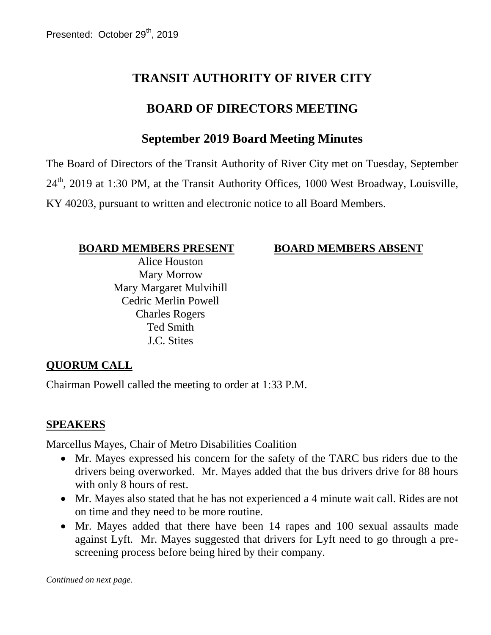# **TRANSIT AUTHORITY OF RIVER CITY**

## **BOARD OF DIRECTORS MEETING**

## **September 2019 Board Meeting Minutes**

The Board of Directors of the Transit Authority of River City met on Tuesday, September 24<sup>th</sup>, 2019 at 1:30 PM, at the Transit Authority Offices, 1000 West Broadway, Louisville, KY 40203, pursuant to written and electronic notice to all Board Members.

#### **BOARD MEMBERS PRESENT BOARD MEMBERS ABSENT**

Alice Houston Mary Morrow Mary Margaret Mulvihill Cedric Merlin Powell Charles Rogers Ted Smith J.C. Stites

#### **QUORUM CALL**

Chairman Powell called the meeting to order at 1:33 P.M.

#### **SPEAKERS**

Marcellus Mayes, Chair of Metro Disabilities Coalition

- Mr. Mayes expressed his concern for the safety of the TARC bus riders due to the drivers being overworked. Mr. Mayes added that the bus drivers drive for 88 hours with only 8 hours of rest.
- Mr. Mayes also stated that he has not experienced a 4 minute wait call. Rides are not on time and they need to be more routine.
- Mr. Mayes added that there have been 14 rapes and 100 sexual assaults made against Lyft. Mr. Mayes suggested that drivers for Lyft need to go through a prescreening process before being hired by their company.

*Continued on next page.*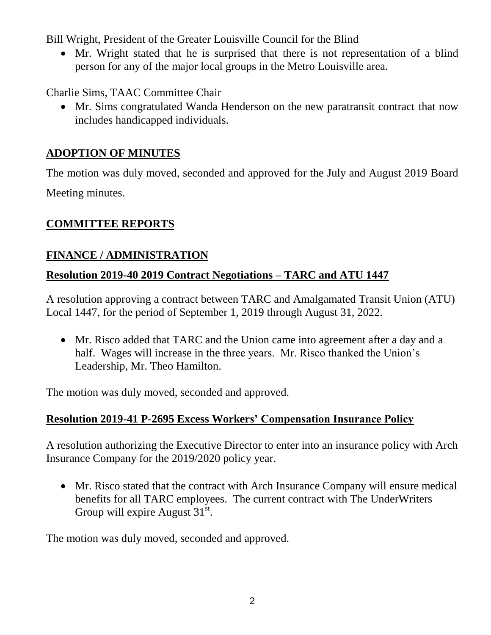Bill Wright, President of the Greater Louisville Council for the Blind

 Mr. Wright stated that he is surprised that there is not representation of a blind person for any of the major local groups in the Metro Louisville area.

Charlie Sims, TAAC Committee Chair

 Mr. Sims congratulated Wanda Henderson on the new paratransit contract that now includes handicapped individuals.

## **ADOPTION OF MINUTES**

The motion was duly moved, seconded and approved for the July and August 2019 Board Meeting minutes.

## **COMMITTEE REPORTS**

## **FINANCE / ADMINISTRATION**

## **Resolution 2019-40 2019 Contract Negotiations – TARC and ATU 1447**

A resolution approving a contract between TARC and Amalgamated Transit Union (ATU) Local 1447, for the period of September 1, 2019 through August 31, 2022.

 Mr. Risco added that TARC and the Union came into agreement after a day and a half. Wages will increase in the three years. Mr. Risco thanked the Union's Leadership, Mr. Theo Hamilton.

The motion was duly moved, seconded and approved.

## **Resolution 2019-41 P-2695 Excess Workers' Compensation Insurance Policy**

A resolution authorizing the Executive Director to enter into an insurance policy with Arch Insurance Company for the 2019/2020 policy year.

 Mr. Risco stated that the contract with Arch Insurance Company will ensure medical benefits for all TARC employees. The current contract with The UnderWriters Group will expire August  $31^{st}$ .

The motion was duly moved, seconded and approved.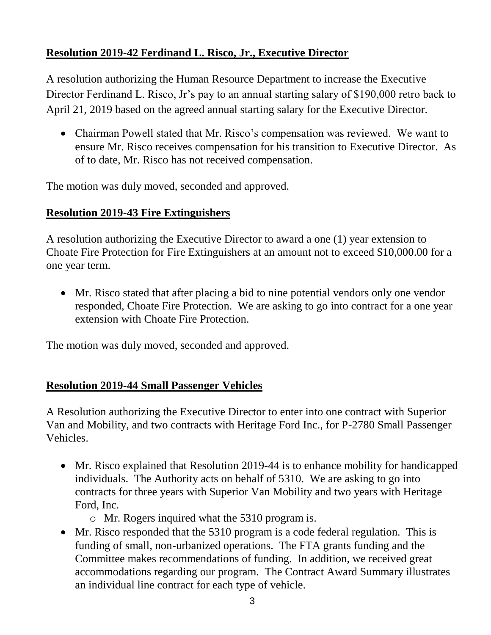## **Resolution 2019-42 Ferdinand L. Risco, Jr., Executive Director**

A resolution authorizing the Human Resource Department to increase the Executive Director Ferdinand L. Risco, Jr's pay to an annual starting salary of \$190,000 retro back to April 21, 2019 based on the agreed annual starting salary for the Executive Director.

• Chairman Powell stated that Mr. Risco's compensation was reviewed. We want to ensure Mr. Risco receives compensation for his transition to Executive Director. As of to date, Mr. Risco has not received compensation.

The motion was duly moved, seconded and approved.

## **Resolution 2019-43 Fire Extinguishers**

A resolution authorizing the Executive Director to award a one (1) year extension to Choate Fire Protection for Fire Extinguishers at an amount not to exceed \$10,000.00 for a one year term.

 Mr. Risco stated that after placing a bid to nine potential vendors only one vendor responded, Choate Fire Protection. We are asking to go into contract for a one year extension with Choate Fire Protection.

The motion was duly moved, seconded and approved.

## **Resolution 2019-44 Small Passenger Vehicles**

A Resolution authorizing the Executive Director to enter into one contract with Superior Van and Mobility, and two contracts with Heritage Ford Inc., for P-2780 Small Passenger Vehicles.

- Mr. Risco explained that Resolution 2019-44 is to enhance mobility for handicapped individuals. The Authority acts on behalf of 5310. We are asking to go into contracts for three years with Superior Van Mobility and two years with Heritage Ford, Inc.
	- o Mr. Rogers inquired what the 5310 program is.
- Mr. Risco responded that the 5310 program is a code federal regulation. This is funding of small, non-urbanized operations. The FTA grants funding and the Committee makes recommendations of funding. In addition, we received great accommodations regarding our program. The Contract Award Summary illustrates an individual line contract for each type of vehicle.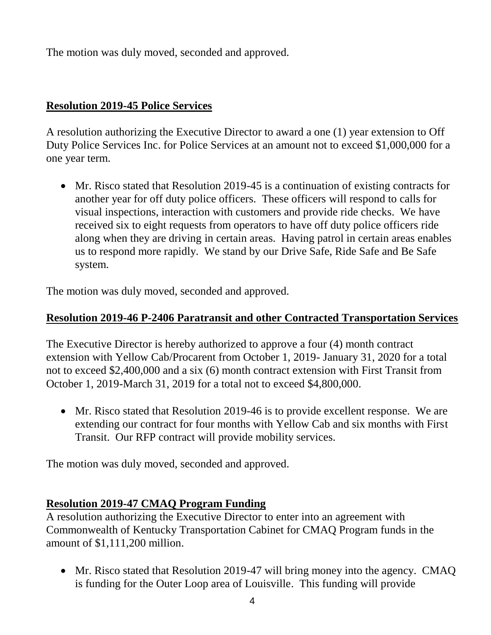The motion was duly moved, seconded and approved.

#### **Resolution 2019-45 Police Services**

A resolution authorizing the Executive Director to award a one (1) year extension to Off Duty Police Services Inc. for Police Services at an amount not to exceed \$1,000,000 for a one year term.

 Mr. Risco stated that Resolution 2019-45 is a continuation of existing contracts for another year for off duty police officers. These officers will respond to calls for visual inspections, interaction with customers and provide ride checks. We have received six to eight requests from operators to have off duty police officers ride along when they are driving in certain areas. Having patrol in certain areas enables us to respond more rapidly. We stand by our Drive Safe, Ride Safe and Be Safe system.

The motion was duly moved, seconded and approved.

#### **Resolution 2019-46 P-2406 Paratransit and other Contracted Transportation Services**

The Executive Director is hereby authorized to approve a four (4) month contract extension with Yellow Cab/Procarent from October 1, 2019- January 31, 2020 for a total not to exceed \$2,400,000 and a six (6) month contract extension with First Transit from October 1, 2019-March 31, 2019 for a total not to exceed \$4,800,000.

 Mr. Risco stated that Resolution 2019-46 is to provide excellent response. We are extending our contract for four months with Yellow Cab and six months with First Transit. Our RFP contract will provide mobility services.

The motion was duly moved, seconded and approved.

## **Resolution 2019-47 CMAQ Program Funding**

A resolution authorizing the Executive Director to enter into an agreement with Commonwealth of Kentucky Transportation Cabinet for CMAQ Program funds in the amount of \$1,111,200 million.

• Mr. Risco stated that Resolution 2019-47 will bring money into the agency. CMAQ is funding for the Outer Loop area of Louisville. This funding will provide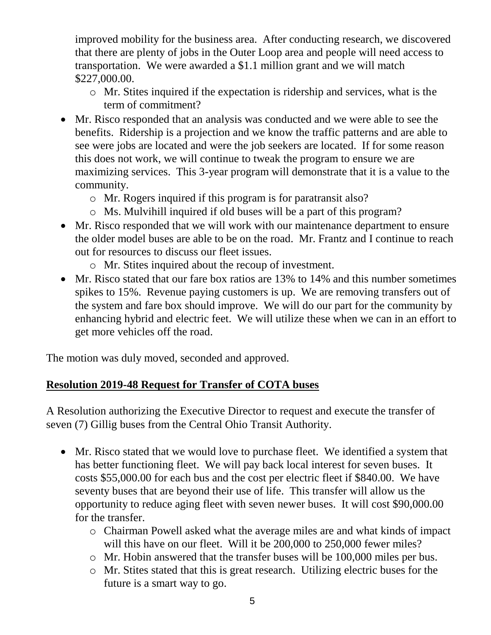improved mobility for the business area. After conducting research, we discovered that there are plenty of jobs in the Outer Loop area and people will need access to transportation. We were awarded a \$1.1 million grant and we will match \$227,000.00.

- o Mr. Stites inquired if the expectation is ridership and services, what is the term of commitment?
- Mr. Risco responded that an analysis was conducted and we were able to see the benefits. Ridership is a projection and we know the traffic patterns and are able to see were jobs are located and were the job seekers are located. If for some reason this does not work, we will continue to tweak the program to ensure we are maximizing services. This 3-year program will demonstrate that it is a value to the community.
	- o Mr. Rogers inquired if this program is for paratransit also?
	- o Ms. Mulvihill inquired if old buses will be a part of this program?
- Mr. Risco responded that we will work with our maintenance department to ensure the older model buses are able to be on the road. Mr. Frantz and I continue to reach out for resources to discuss our fleet issues.
	- o Mr. Stites inquired about the recoup of investment.
- Mr. Risco stated that our fare box ratios are 13% to 14% and this number sometimes spikes to 15%. Revenue paying customers is up. We are removing transfers out of the system and fare box should improve. We will do our part for the community by enhancing hybrid and electric feet. We will utilize these when we can in an effort to get more vehicles off the road.

The motion was duly moved, seconded and approved.

## **Resolution 2019-48 Request for Transfer of COTA buses**

A Resolution authorizing the Executive Director to request and execute the transfer of seven (7) Gillig buses from the Central Ohio Transit Authority.

- Mr. Risco stated that we would love to purchase fleet. We identified a system that has better functioning fleet. We will pay back local interest for seven buses. It costs \$55,000.00 for each bus and the cost per electric fleet if \$840.00. We have seventy buses that are beyond their use of life. This transfer will allow us the opportunity to reduce aging fleet with seven newer buses. It will cost \$90,000.00 for the transfer.
	- o Chairman Powell asked what the average miles are and what kinds of impact will this have on our fleet. Will it be 200,000 to 250,000 fewer miles?
	- o Mr. Hobin answered that the transfer buses will be 100,000 miles per bus.
	- o Mr. Stites stated that this is great research. Utilizing electric buses for the future is a smart way to go.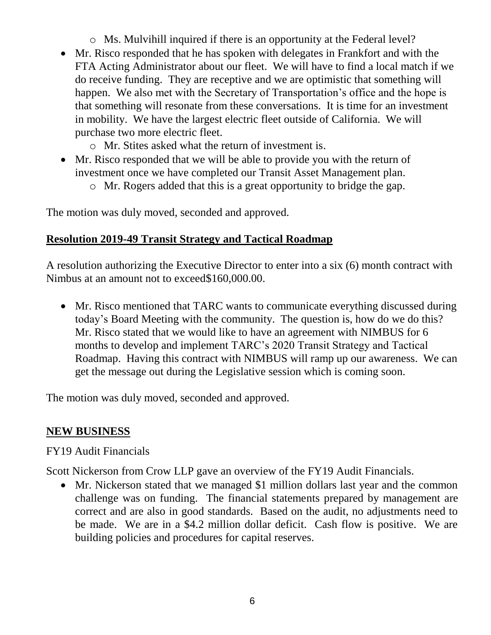- o Ms. Mulvihill inquired if there is an opportunity at the Federal level?
- Mr. Risco responded that he has spoken with delegates in Frankfort and with the FTA Acting Administrator about our fleet. We will have to find a local match if we do receive funding. They are receptive and we are optimistic that something will happen. We also met with the Secretary of Transportation's office and the hope is that something will resonate from these conversations. It is time for an investment in mobility. We have the largest electric fleet outside of California. We will purchase two more electric fleet.
	- o Mr. Stites asked what the return of investment is.
- Mr. Risco responded that we will be able to provide you with the return of investment once we have completed our Transit Asset Management plan.
	- o Mr. Rogers added that this is a great opportunity to bridge the gap.

The motion was duly moved, seconded and approved.

#### **Resolution 2019-49 Transit Strategy and Tactical Roadmap**

A resolution authorizing the Executive Director to enter into a six (6) month contract with Nimbus at an amount not to exceed\$160,000.00.

 Mr. Risco mentioned that TARC wants to communicate everything discussed during today's Board Meeting with the community. The question is, how do we do this? Mr. Risco stated that we would like to have an agreement with NIMBUS for 6 months to develop and implement TARC's 2020 Transit Strategy and Tactical Roadmap. Having this contract with NIMBUS will ramp up our awareness. We can get the message out during the Legislative session which is coming soon.

The motion was duly moved, seconded and approved.

#### **NEW BUSINESS**

#### FY19 Audit Financials

Scott Nickerson from Crow LLP gave an overview of the FY19 Audit Financials.

• Mr. Nickerson stated that we managed \$1 million dollars last year and the common challenge was on funding. The financial statements prepared by management are correct and are also in good standards. Based on the audit, no adjustments need to be made. We are in a \$4.2 million dollar deficit. Cash flow is positive. We are building policies and procedures for capital reserves.